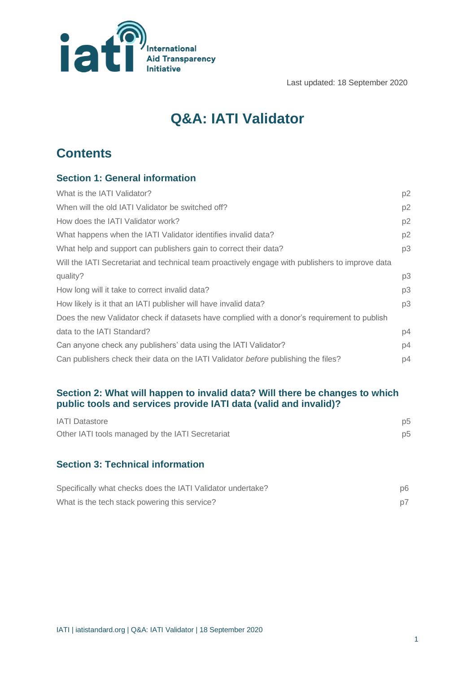

Last updated: 18 September 2020

# **Q&A: IATI Validator**

# **Contents**

# **Section 1: General information**

| What is the IATI Validator?                                                                     | p2             |
|-------------------------------------------------------------------------------------------------|----------------|
| When will the old IATI Validator be switched off?                                               | p <sub>2</sub> |
| How does the IATI Validator work?                                                               | p2             |
| What happens when the IATI Validator identifies invalid data?                                   | p2             |
| What help and support can publishers gain to correct their data?                                | p3             |
| Will the IATI Secretariat and technical team proactively engage with publishers to improve data |                |
| quality?                                                                                        | p3             |
| How long will it take to correct invalid data?                                                  | p3             |
| How likely is it that an IATI publisher will have invalid data?                                 | p3             |
| Does the new Validator check if datasets have complied with a donor's requirement to publish    |                |
| data to the IATI Standard?                                                                      | p4             |
| Can anyone check any publishers' data using the IATI Validator?                                 | p4             |
| Can publishers check their data on the IATI Validator before publishing the files?              | p4             |

## **Section 2: What will happen to invalid data? Will there be changes to which public tools and services provide IATI data (valid and invalid)?**

| <b>IATI</b> Datastore                            | p5 |
|--------------------------------------------------|----|
| Other IATI tools managed by the IATI Secretariat | p5 |
|                                                  |    |

# **Section 3: Technical information**

| Specifically what checks does the IATI Validator undertake? | p6 |
|-------------------------------------------------------------|----|
| What is the tech stack powering this service?               |    |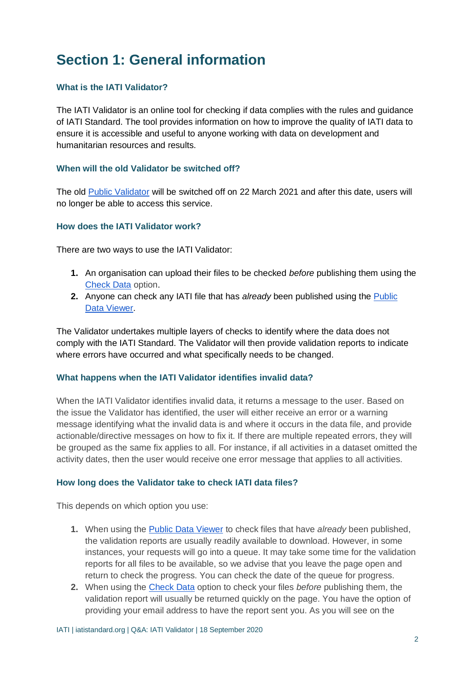# **Section 1: General information**

## **What is the IATI Validator?**

The IATI Validator is an online tool for checking if data complies with the rules and guidance of IATI Standard. The tool provides information on how to improve the quality of IATI data to ensure it is accessible and useful to anyone working with data on development and humanitarian resources and results.

### **When will the old Validator be switched off?**

The old [Public Validator](http://validator.iatistandard.org/) will be switched off on 22 March 2021 and after this date, users will no longer be able to access this service.

### **How does the IATI Validator work?**

There are two ways to use the IATI Validator:

- **1.** An organisation can upload their files to be checked *before* publishing them using the [Check Data](http://iativalidator.iatistandard.org/validate) option.
- **2.** Anyone can check any IATI file that has *already* been published using the [Public](https://iativalidator.iatistandard.org/organisations)  [Data Viewer.](https://iativalidator.iatistandard.org/organisations)

The Validator undertakes multiple layers of checks to identify where the data does not comply with the IATI Standard. The Validator will then provide validation reports to indicate where errors have occurred and what specifically needs to be changed.

#### **What happens when the IATI Validator identifies invalid data?**

When the IATI Validator identifies invalid data, it returns a message to the user. Based on the issue the Validator has identified, the user will either receive an error or a warning message identifying what the invalid data is and where it occurs in the data file, and provide actionable/directive messages on how to fix it. If there are multiple repeated errors, they will be grouped as the same fix applies to all. For instance, if all activities in a dataset omitted the activity dates, then the user would receive one error message that applies to all activities.

#### **How long does the Validator take to check IATI data files?**

This depends on which option you use:

- **1.** When using the [Public Data Viewer](http://iativalidator.iatistandard.org/organisations) to check files that have *already* been published, the validation reports are usually readily available to download. However, in some instances, your requests will go into a queue. It may take some time for the validation reports for all files to be available, so we advise that you leave the page open and return to check the progress. You can check the date of the queue for progress.
- **2.** When using the [Check Data](http://iativalidator.iatistandard.org/validate) option to check your files *before* publishing them, the validation report will usually be returned quickly on the page. You have the option of providing your email address to have the report sent you. As you will see on the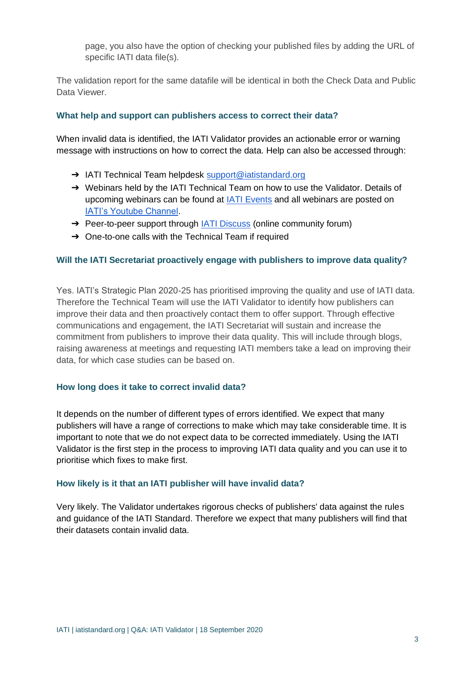page, you also have the option of checking your published files by adding the URL of specific IATI data file(s).

The validation report for the same datafile will be identical in both the Check Data and Public Data Viewer.

## **What help and support can publishers access to correct their data?**

When invalid data is identified, the IATI Validator provides an actionable error or warning message with instructions on how to correct the data. Help can also be accessed through:

- → IATI Technical Team helpdesk [support@iatistandard.org](mailto:support@iatistandard.org)
- → Webinars held by the IATI Technical Team on how to use the Validator. Details of upcoming webinars can be found at [IATI Events](https://iatistandard.org/en/events/) and all webinars are posted on [IATI's Youtube Channel.](https://www.youtube.com/channel/UCAVH1gcgJXElsj8ENC-bDQQ)
- → Peer-to-peer support through [IATI Discuss](https://iatistandard.org/en/iati-community/) (online community forum)
- → One-to-one calls with the Technical Team if required

#### **Will the IATI Secretariat proactively engage with publishers to improve data quality?**

Yes. IATI's Strategic Plan 2020-25 has prioritised improving the quality and use of IATI data. Therefore the Technical Team will use the IATI Validator to identify how publishers can improve their data and then proactively contact them to offer support. Through effective communications and engagement, the IATI Secretariat will sustain and increase the commitment from publishers to improve their data quality. This will include through blogs, raising awareness at meetings and requesting IATI members take a lead on improving their data, for which case studies can be based on.

#### **How long does it take to correct invalid data?**

It depends on the number of different types of errors identified. We expect that many publishers will have a range of corrections to make which may take considerable time. It is important to note that we do not expect data to be corrected immediately. Using the IATI Validator is the first step in the process to improving IATI data quality and you can use it to prioritise which fixes to make first.

#### **How likely is it that an IATI publisher will have invalid data?**

Very likely. The Validator undertakes rigorous checks of publishers' data against the rules and guidance of the IATI Standard. Therefore we expect that many publishers will find that their datasets contain invalid data.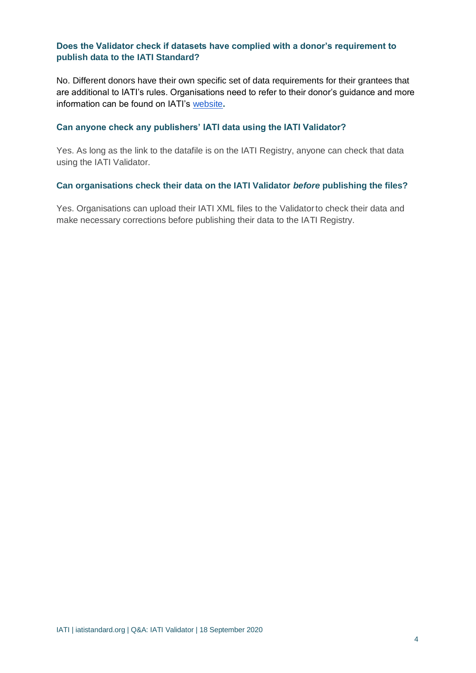## **Does the Validator check if datasets have complied with a donor's requirement to publish data to the IATI Standard?**

No. Different donors have their own specific set of data requirements for their grantees that are additional to IATI's rules. Organisations need to refer to their donor's guidance and more information can be found on IATI's [website](https://iatistandard.org/en/guidance/preparing-data/donors-reporting-requirements/)**.** 

### **Can anyone check any publishers' IATI data using the IATI Validator?**

Yes. As long as the link to the datafile is on the IATI Registry, anyone can check that data using the IATI Validator.

#### **Can organisations check their data on the IATI Validator** *before* **publishing the files?**

Yes. Organisations can upload their IATI XML files to the Validatorto check their data and make necessary corrections before publishing their data to the IATI Registry.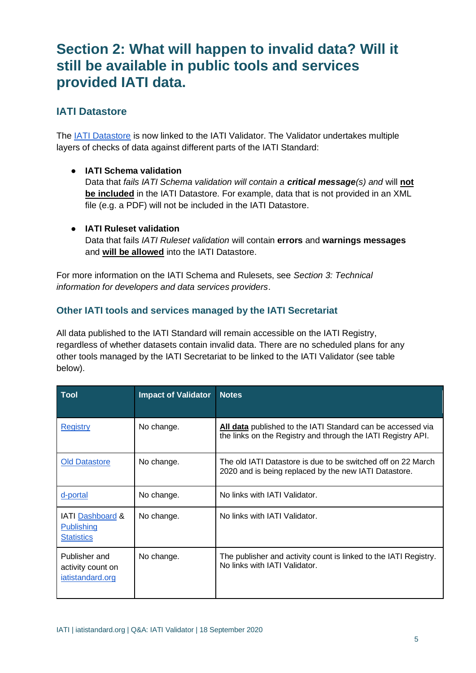# **Section 2: What will happen to invalid data? Will it still be available in public tools and services provided IATI data.**

# **IATI Datastore**

The [IATI Datastore](https://iatidatastore.iatistandard.org/) is now linked to the IATI Validator. The Validator undertakes multiple layers of checks of data against different parts of the IATI Standard:

● **IATI Schema validation**

Data that *fails IATI Schema validation will contain a critical message(s) and* will **not be included** in the IATI Datastore. For example, data that is not provided in an XML file (e.g. a PDF) will not be included in the IATI Datastore.

● **IATI Ruleset validation** Data that fails *IATI Ruleset validation* will contain **errors** and **warnings messages**  and **will be allowed** into the IATI Datastore.

For more information on the IATI Schema and Rulesets, see *Section 3: Technical information for developers and data services providers*.

# **Other IATI tools and services managed by the IATI Secretariat**

All data published to the IATI Standard will remain accessible on the IATI Registry, regardless of whether datasets contain invalid data. There are no scheduled plans for any other tools managed by the IATI Secretariat to be linked to the IATI Validator (see table below).

| <b>Tool</b>                                                       | <b>Impact of Validator</b> | <b>Notes</b>                                                                                                                |
|-------------------------------------------------------------------|----------------------------|-----------------------------------------------------------------------------------------------------------------------------|
| <b>Registry</b>                                                   | No change.                 | All data published to the IATI Standard can be accessed via<br>the links on the Registry and through the IATI Registry API. |
| <b>Old Datastore</b>                                              | No change.                 | The old IATI Datastore is due to be switched off on 22 March<br>2020 and is being replaced by the new IATI Datastore.       |
| d-portal                                                          | No change.                 | No links with IATI Validator.                                                                                               |
| <b>IATI</b> Dashboard &<br><b>Publishing</b><br><b>Statistics</b> | No change.                 | No links with IATI Validator.                                                                                               |
| Publisher and<br>activity count on<br>iatistandard.org            | No change.                 | The publisher and activity count is linked to the IATI Registry.<br>No links with IATI Validator.                           |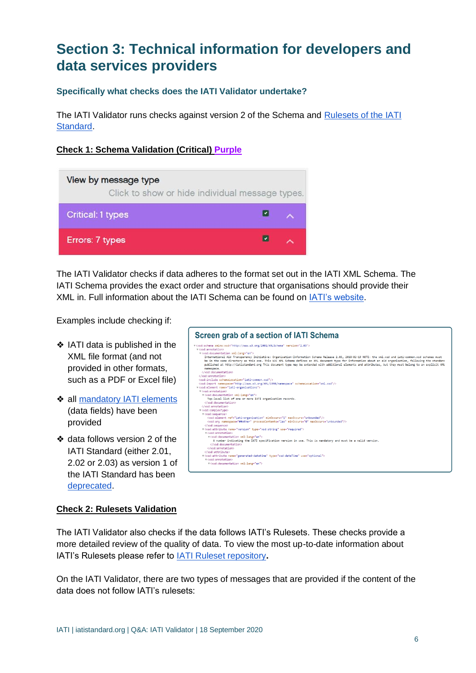# **Section 3: Technical information for developers and data services providers**

## **Specifically what checks does the IATI Validator undertake?**

The IATI Validator runs checks against version 2 of the Schema and [Rulesets of the IATI](https://iatistandard.org/en/iati-standard/203/rulesets/)  [Standard.](https://iatistandard.org/en/iati-standard/203/rulesets/)

## **Check 1: Schema Validation (Critical) Purple**

| View by message type<br>Click to show or hide individual message types. |  |  |  |  |
|-------------------------------------------------------------------------|--|--|--|--|
| <b>Critical: 1 types</b>                                                |  |  |  |  |
| Errors: 7 types                                                         |  |  |  |  |

The IATI Validator checks if data adheres to the format set out in the IATI XML Schema. The IATI Schema provides the exact order and structure that organisations should provide their XML in. Full information about the IATI Schema can be found on [IATI's website.](https://iatistandard.org/en/iati-standard/203/schema/)

Examples include checking if:

- ❖ IATI data is published in the XML file format (and not provided in other formats, such as a PDF or Excel file)
- ❖ all [mandatory IATI elements](https://iatistandard.org/en/guidance/preparing-data/activity-information/activity-information-you-can-publish/) (data fields) have been provided
- ❖ data follows version 2 of the IATI Standard (either 2.01, 2.02 or 2.03) as version 1 of the IATI Standard has been [deprecated.](https://iatistandard.org/en/news/notice-iati-standard-version-1-is-deprecated/)

| Screen grab of a section of IATI Schema                                                                                                                                                                                                                                                                                                                    |
|------------------------------------------------------------------------------------------------------------------------------------------------------------------------------------------------------------------------------------------------------------------------------------------------------------------------------------------------------------|
| # <xsd:schema_xmlns:xsd="http: 2001="" www.w3.org="" xmlschema"_version="2.03"><br/>v (xsd:annotation)<br/>▼<xsd:documentation xml:lang="en"><br/>International Aid Transparency Initiative: Organisation-Information Schema Release 2.03, 2018-02-19 NOTE: the xml.xsd and iati-common.xsd schemas must</xsd:documentation></xsd:schema_xmlns:xsd="http:> |
| be in the same directory as this one. This W3C XML Schema defines an XML document type for information about an aid organisation, following the standarc<br>published at http://iatistandard.org This document type may be extended with additional elements and attributes, but they must belong to an explicit XML<br>namespace.<br>                     |
| <br><xsd:include schemalocation="iati-common.xsd"></xsd:include>                                                                                                                                                                                                                                                                                           |
| <xsd:import namespace="http://www.w3.org/XML/1998/namespace" schemalocation="xml.xsd"></xsd:import><br>v <xsd:element name="iati-organisations"></xsd:element>                                                                                                                                                                                             |
| <b>v</b> (xsd:annotation)<br>▼ <xsd:documentation xml:lang="en"><br/>Top-level list of one or more IATI organisation records.<br/></xsd:documentation>                                                                                                                                                                                                     |
| <br>w <xsd:complextype></xsd:complextype>                                                                                                                                                                                                                                                                                                                  |
| ▼ <xsd: sequence=""><br/><xsd:element maxoccurs="unbounded" minoccurs="1" ref="iati-organisation"></xsd:element><br/><xsd:any maxoccurs="unbounded" minoccurs="0" namespace="##other" processcontents="lax"></xsd:any></xsd:>                                                                                                                              |
| <br>▼ <xsd:attribute name="version" tvpe="xsd:string" use="required"><br/>v<xsd:annotation></xsd:annotation></xsd:attribute>                                                                                                                                                                                                                               |
| w <xsd:documentation xml:lang="en"><br/>A number indicating the IATI specification version in use. This is mandatory and must be a valid version.<br/></xsd:documentation>                                                                                                                                                                                 |
| <br><br>v <xsd:attribute name="generated-datetime" tvpe="xsd:dateTime" use="optional"></xsd:attribute>                                                                                                                                                                                                                                                     |
| v <xsd:annotation><br/>▼<xsd:documentation xml:lang="en"></xsd:documentation></xsd:annotation>                                                                                                                                                                                                                                                             |

## **Check 2: Rulesets Validation**

The IATI Validator also checks if the data follows IATI's Rulesets. These checks provide a more detailed review of the quality of data. To view the most up-to-date information about IATI's Rulesets please refer to [IATI Ruleset repository](https://github.com/IATI/IATI-Rulesets)**.**

On the IATI Validator, there are two types of messages that are provided if the content of the data does not follow IATI's rulesets: